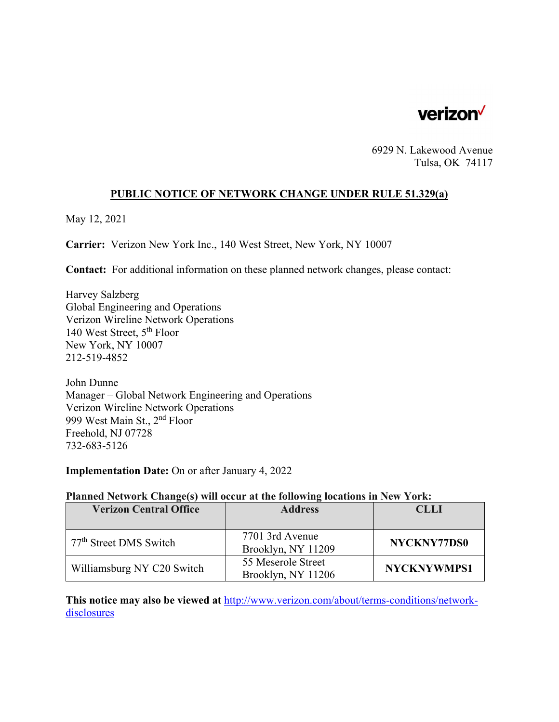

6929 N. Lakewood Avenue Tulsa, OK 74117

### **PUBLIC NOTICE OF NETWORK CHANGE UNDER RULE 51.329(a)**

May 12, 2021

**Carrier:** Verizon New York Inc., 140 West Street, New York, NY 10007

**Contact:** For additional information on these planned network changes, please contact:

Harvey Salzberg Global Engineering and Operations Verizon Wireline Network Operations 140 West Street, 5th Floor New York, NY 10007 212-519-4852

John Dunne Manager – Global Network Engineering and Operations Verizon Wireline Network Operations 999 West Main St., 2nd Floor Freehold, NJ 07728 732-683-5126

**Implementation Date:** On or after January 4, 2022

#### **Planned Network Change(s) will occur at the following locations in New York:**

| <b>Verizon Central Office</b>      | <b>Address</b>                           | <b>CLLI</b>        |
|------------------------------------|------------------------------------------|--------------------|
|                                    |                                          |                    |
| 77 <sup>th</sup> Street DMS Switch | 7701 3rd Avenue<br>Brooklyn, NY 11209    | NYCKNY77DS0        |
| Williamsburg NY C20 Switch         | 55 Meserole Street<br>Brooklyn, NY 11206 | <b>NYCKNYWMPS1</b> |

**This notice may also be viewed at** http://www.verizon.com/about/terms-conditions/networkdisclosures